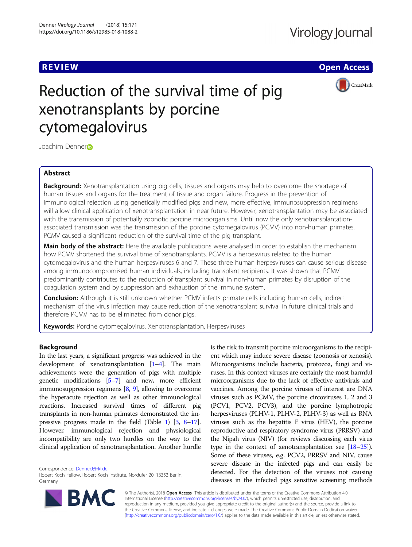**REVIEW CONTROL** CONTROL CONTROL CONTROL CONTROL CONTROL CONTROL CONTROL CONTROL CONTROL CONTROL CONTROL CONTROL



# Reduction of the survival time of pig xenotransplants by porcine cytomegalovirus

Joachim Denne[r](http://orcid.org/0000-0003-3244-6085)®

# Abstract

**Background:** Xenotransplantation using pig cells, tissues and organs may help to overcome the shortage of human tissues and organs for the treatment of tissue and organ failure. Progress in the prevention of immunological rejection using genetically modified pigs and new, more effective, immunosuppression regimens will allow clinical application of xenotransplantation in near future. However, xenotransplantation may be associated with the transmission of potentially zoonotic porcine microorganisms. Until now the only xenotransplantationassociated transmission was the transmission of the porcine cytomegalovirus (PCMV) into non-human primates. PCMV caused a significant reduction of the survival time of the pig transplant.

Main body of the abstract: Here the available publications were analysed in order to establish the mechanism how PCMV shortened the survival time of xenotransplants. PCMV is a herpesvirus related to the human cytomegalovirus and the human herpesviruses 6 and 7. These three human herpesviruses can cause serious disease among immunocompromised human individuals, including transplant recipients. It was shown that PCMV predominantly contributes to the reduction of transplant survival in non-human primates by disruption of the coagulation system and by suppression and exhaustion of the immune system.

Conclusion: Although it is still unknown whether PCMV infects primate cells including human cells, indirect mechanism of the virus infection may cause reduction of the xenotransplant survival in future clinical trials and therefore PCMV has to be eliminated from donor pigs.

Keywords: Porcine cytomegalovirus, Xenotransplantation, Herpesviruses

# Background

In the last years, a significant progress was achieved in the development of xenotransplantation [\[1](#page-4-0)–[4](#page-5-0)]. The main achievements were the generation of pigs with multiple genetic modifications [\[5](#page-5-0)–[7](#page-5-0)] and new, more efficient immunosuppression regimens [[8,](#page-5-0) [9\]](#page-5-0), allowing to overcome the hyperacute rejection as well as other immunological reactions. Increased survival times of different pig transplants in non-human primates demonstrated the impressive progress made in the field (Table [1\)](#page-1-0) [[3,](#page-5-0) [8](#page-5-0)–[17](#page-5-0)]. However, immunological rejection and physiological incompatibility are only two hurdles on the way to the clinical application of xenotransplantation. Another hurdle

Correspondence: [DennerJ@rki.de](mailto:DennerJ@rki.de)

Robert Koch Fellow, Robert Koch Institute, Nordufer 20, 13353 Berlin, Germany



is the risk to transmit porcine microorganisms to the recipient which may induce severe disease (zoonosis or xenosis). Microorganisms include bacteria, protozoa, fungi and viruses. In this context viruses are certainly the most harmful microorganisms due to the lack of effective antivirals and vaccines. Among the porcine viruses of interest are DNA viruses such as PCMV, the porcine circoviruses 1, 2 and 3 (PCV1, PCV2, PCV3), and the porcine lymphotropic herpesviruses (PLHV-1, PLHV-2, PLHV-3) as well as RNA viruses such as the hepatitis E virus (HEV), the porcine reproductive and respiratory syndrome virus (PRRSV) and the Nipah virus (NIV) (for reviews discussing each virus type in the context of xenotransplantation see [[18](#page-5-0)–[25](#page-5-0)]). Some of these viruses, e.g. PCV2, PRRSV and NIV, cause severe disease in the infected pigs and can easily be detected. For the detection of the viruses not causing diseases in the infected pigs sensitive screening methods

© The Author(s). 2018 Open Access This article is distributed under the terms of the Creative Commons Attribution 4.0 International License [\(http://creativecommons.org/licenses/by/4.0/](http://creativecommons.org/licenses/by/4.0/)), which permits unrestricted use, distribution, and reproduction in any medium, provided you give appropriate credit to the original author(s) and the source, provide a link to the Creative Commons license, and indicate if changes were made. The Creative Commons Public Domain Dedication waiver [\(http://creativecommons.org/publicdomain/zero/1.0/](http://creativecommons.org/publicdomain/zero/1.0/)) applies to the data made available in this article, unless otherwise stated.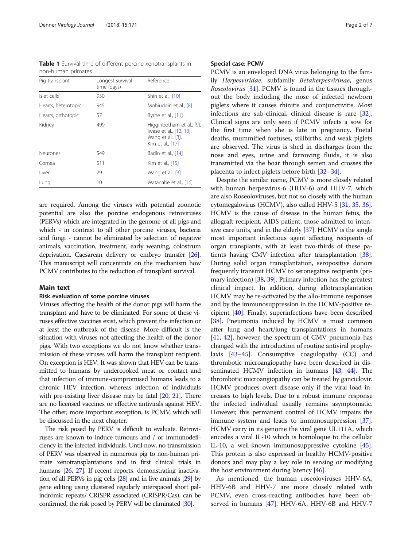<span id="page-1-0"></span>Table 1 Survival time of different porcine xenotransplants in non-human primates

| Pig transplant      | Longest survival<br>time (days) | Reference                                                                                     |
|---------------------|---------------------------------|-----------------------------------------------------------------------------------------------|
| Islet cells         | 950                             | Shin et al., [10]                                                                             |
| Hearts, heterotopic | 945                             | Mohiuddin et al., [8]                                                                         |
| Hearts, orthotopic  | 57                              | Byrne et al., [11]                                                                            |
| Kidney              | 499                             | Higginbotham et al., [9],<br>Iwase et al., [12, 13],<br>Wang et al., [3],<br>Kim et al., [17] |
| <b>Neurones</b>     | 549                             | Badin et al., [14]                                                                            |
| Cornea              | 511                             | Kim et al., [15]                                                                              |
| I iver              | 29                              | Wang et al., [3]                                                                              |
| Lung                | 10                              | Watanabe et al., [16]                                                                         |

are required. Among the viruses with potential zoonotic potential are also the porcine endogenous retroviruses (PERVs) which are integrated in the genome of all pigs and which - in contrast to all other porcine viruses, bacteria and fungi - cannot be eliminated by selection of negative animals, vaccination, treatment, early weaning, colostrum deprivation, Caesarean delivery or embryo transfer [\[26](#page-5-0)]. This manuscript will concentrate on the mechanism how PCMV contributes to the reduction of transplant survival.

## Main text

# Risk evaluation of some porcine viruses

Viruses affecting the health of the donor pigs will harm the transplant and have to be eliminated. For some of these viruses effective vaccines exist, which prevent the infection or at least the outbreak of the disease. More difficult is the situation with viruses not affecting the health of the donor pigs. With two exceptions we do not know whether transmission of these viruses will harm the transplant recipient. On exception is HEV. It was shown that HEV can be transmitted to humans by undercooked meat or contact and that infection of immune-compromised humans leads to a chronic HEV infection, whereas infection of individuals with pre-existing liver disease may be fatal [\[20](#page-5-0), [21\]](#page-5-0). There are no licensed vaccines or effective antivirals against HEV. The other, more important exception, is PCMV, which will be discussed in the next chapter.

The risk posed by PERV is difficult to evaluate. Retroviruses are known to induce tumours and / or immunodeficiency in the infected individuals. Until now, no transmission of PERV was observed in numerous pig to non-human primate xenotransplantations and in first clinical trials in humans [\[26,](#page-5-0) [27\]](#page-5-0). If recent reports, demonstrating inactivation of all PERVs in pig cells [\[28\]](#page-5-0) and in live animals [\[29](#page-5-0)] by gene editing using clustered regularly interspaced short palindromic repeats/ CRISPR associated (CRISPR/Cas), can be confirmed, the risk posed by PERV will be eliminated [\[30](#page-5-0)].

#### Special case: PCMV

PCMV is an enveloped DNA virus belonging to the family Herpesviridae, subfamily Betaherpesvirinae, genus Roseolovirus [[31](#page-5-0)]. PCMV is found in the tissues throughout the body including the nose of infected newborn piglets where it causes rhinitis and conjunctivitis. Most infections are sub-clinical, clinical disease is rare [\[32](#page-5-0)]. Clinical signs are only seen if PCMV infects a sow for the first time when she is late in pregnancy. Foetal deaths, mummified foetuses, stillbirths, and weak piglets are observed. The virus is shed in discharges from the nose and eyes, urine and farrowing fluids, it is also transmitted via the boar through semen and crosses the placenta to infect piglets before birth [[32](#page-5-0)–[34](#page-5-0)].

Despite the similar name, PCMV is more closely related with human herpesvirus-6 (HHV-6) and HHV-7, which are also Roseoloviruses, but not so closely with the human cytomegalovirus (HCMV), also called HHV-5 [\[31,](#page-5-0) [35,](#page-5-0) [36](#page-5-0)]. HCMV is the cause of disease in the human fetus, the allograft recipient, AIDS patient, those admitted to intensive care units, and in the elderly [[37](#page-5-0)]. HCMV is the single most important infectious agent affecting recipients of organ transplants, with at least two-thirds of these patients having CMV infection after transplantation [[38](#page-5-0)]. During solid organ transplantation, seropositive donors frequently transmit HCMV to seronegative recipients (primary infection) [[38](#page-5-0), [39\]](#page-5-0). Primary infection has the greatest clinical impact. In addition, during allotransplantation HCMV may be re-activated by the allo-immune responses and by the immunosuppression in the HCMV-positive recipient [\[40\]](#page-5-0). Finally, superinfections have been described [[38](#page-5-0)]. Pneumonia induced by HCMV is most common after lung and heart/lung transplantations in humans [[41](#page-5-0), [42\]](#page-5-0), however, the spectrum of CMV pneumonia has changed with the introduction of routine antiviral prophylaxis [\[43](#page-5-0)–[45](#page-5-0)]. Consumptive coagulopathy (CC) and thrombotic microangiopathy have been described in disseminated HCMV infection in humans [[43](#page-5-0), [44](#page-5-0)]. The thrombotic microangiopathy can be treated by ganciclovir. HCMV produces overt disease only if the viral load increases to high levels. Due to a robust immune response the infected individual usually remains asymptomatic. However, this permanent control of HCMV impairs the immune system and leads to immunosuppression [[37](#page-5-0)]. HCMV carry in its genome the viral gene UL111A, which encodes a viral IL-10 which is homoloque to the cellular IL-10, a well-known immunosuppressive cytokine [[45](#page-5-0)]. This protein is also expressed in healthy HCMV-positive donors and may play a key role in sensing or modifying the host environment during latency [\[46](#page-5-0)].

As mentioned, the human roseoloviruses HHV-6A, HHV-6B and HHV-7 are more closely related with PCMV, even cross-reacting antibodies have been observed in humans [[47](#page-5-0)]. HHV-6A, HHV-6B and HHV-7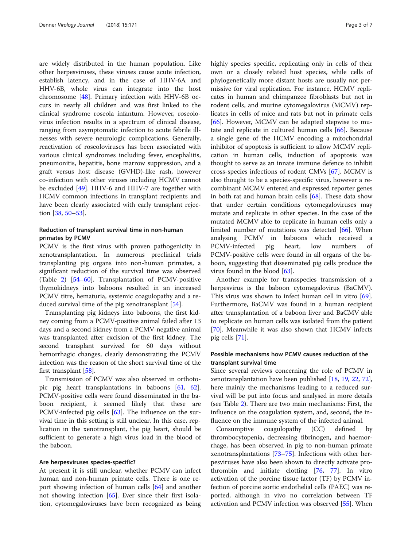are widely distributed in the human population. Like other herpesviruses, these viruses cause acute infection, establish latency, and in the case of HHV-6A and HHV-6B, whole virus can integrate into the host chromosome [[48](#page-5-0)]. Primary infection with HHV-6B occurs in nearly all children and was first linked to the clinical syndrome roseola infantum. However, roseolovirus infection results in a spectrum of clinical disease, ranging from asymptomatic infection to acute febrile illnesses with severe neurologic complications. Generally, reactivation of roseoloviruses has been associated with various clinical syndromes including fever, encephalitis, pneumonitis, hepatitis, bone marrow suppression, and a graft versus host disease (GVHD)-like rash, however co-infection with other viruses including HCMV cannot be excluded [\[49\]](#page-5-0). HHV-6 and HHV-7 are together with HCMV common infections in transplant recipients and have been clearly associated with early transplant rejection [\[38,](#page-5-0) [50](#page-5-0)–[53\]](#page-6-0).

# Reduction of transplant survival time in non-human primates by PCMV

PCMV is the first virus with proven pathogenicity in xenotransplantation. In numerous preclinical trials transplanting pig organs into non-human primates, a significant reduction of the survival time was observed (Table [2](#page-3-0)) [[54](#page-6-0)–[60](#page-6-0)]. Transplantation of PCMV-positive thymokidneys into baboons resulted in an increased PCMV titre, hematuria, systemic coagulopathy and a reduced survival time of the pig xenotransplant [\[54](#page-6-0)].

Transplanting pig kidneys into baboons, the first kidney coming from a PCMV-positive animal failed after 13 days and a second kidney from a PCMV-negative animal was transplanted after excision of the first kidney. The second transplant survived for 60 days without hemorrhagic changes, clearly demonstrating the PCMV infection was the reason of the short survival time of the first transplant [\[58\]](#page-6-0).

Transmission of PCMV was also observed in orthotopic pig heart transplantations in baboons [\[61](#page-6-0), [62](#page-6-0)]. PCMV-positive cells were found disseminated in the baboon recipient, it seemed likely that these are PCMV-infected pig cells [[63](#page-6-0)]. The influence on the survival time in this setting is still unclear. In this case, replication in the xenotransplant, the pig heart, should be sufficient to generate a high virus load in the blood of the baboon.

## Are herpesviruses species-specific?

At present it is still unclear, whether PCMV can infect human and non-human primate cells. There is one report showing infection of human cells [[64](#page-6-0)] and another not showing infection [\[65\]](#page-6-0). Ever since their first isolation, cytomegaloviruses have been recognized as being highly species specific, replicating only in cells of their own or a closely related host species, while cells of phylogenetically more distant hosts are usually not permissive for viral replication. For instance, HCMV replicates in human and chimpanzee fibroblasts but not in rodent cells, and murine cytomegalovirus (MCMV) replicates in cells of mice and rats but not in primate cells [[66\]](#page-6-0). However, MCMV can be adapted stepwise to mutate and replicate in cultured human cells [\[66\]](#page-6-0). Because a single gene of the HCMV encoding a mitochondrial inhibitor of apoptosis is sufficient to allow MCMV replication in human cells, induction of apoptosis was thought to serve as an innate immune defence to inhibit cross-species infections of rodent CMVs [[67](#page-6-0)]. MCMV is also thought to be a species-specific virus, however a recombinant MCMV entered and expressed reporter genes in both rat and human brain cells [\[68\]](#page-6-0). These data show that under certain conditions cytomegaloviruses may mutate and replicate in other species. In the case of the mutated MCMV able to replicate in human cells only a limited number of mutations was detected [[66\]](#page-6-0). When analysing PCMV in baboons which received a PCMV-infected pig heart, low numbers of PCMV-positive cells were found in all organs of the baboon, suggesting that disseminated pig cells produce the virus found in the blood [\[63](#page-6-0)].

Another example for transspecies transmission of a herpesvirus is the baboon cytomegalovirus (BaCMV). This virus was shown to infect human cell in vitro [\[69](#page-6-0)]. Furthermore, BaCMV was found in a human recipient after transplantation of a baboon liver and BaCMV able to replicate on human cells was isolated from the patient [[70\]](#page-6-0). Meanwhile it was also shown that HCMV infects pig cells [[71\]](#page-6-0).

# Possible mechanisms how PCMV causes reduction of the transplant survival time

Since several reviews concerning the role of PCMV in xenotransplantation have been published [[18](#page-5-0), [19](#page-5-0), [22](#page-5-0), [72](#page-6-0)], here mainly the mechanisms leading to a reduced survival will be put into focus and analysed in more details (see Table [2](#page-3-0)). There are two main mechanisms: First, the influence on the coagulation system, and, second, the influence on the immune system of the infected animal.

Consumptive coagulopathy (CC) defined by thrombocytopenia, decreasing fibrinogen, and haemorrhage, has been observed in pig to non-human primate xenotransplantations [[73](#page-6-0)–[75](#page-6-0)]. Infections with other herpesviruses have also been shown to directly activate prothrombin and initiate clotting [[76,](#page-6-0) [77\]](#page-6-0). In vitro activation of the porcine tissue factor (TF) by PCMV infection of porcine aortic endothelial cells (PAEC) was reported, although in vivo no correlation between TF activation and PCMV infection was observed [[55](#page-6-0)]. When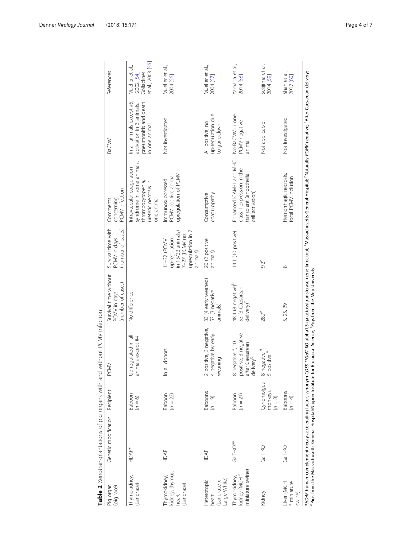<span id="page-3-0"></span>

| Pig organ<br>(pig race)                                      | Genetic modification | Recipient                          | PCMV                                                                                                       | Survival time without<br>(number of cases)<br>PCMV in days     | Survival time with<br>(number of cases)<br>PCMV in days                                             | PCMV infection<br>concerning<br>Comments                                                                                                                                                                      | BaCMV                                                                                          | <b>References</b>                                                |
|--------------------------------------------------------------|----------------------|------------------------------------|------------------------------------------------------------------------------------------------------------|----------------------------------------------------------------|-----------------------------------------------------------------------------------------------------|---------------------------------------------------------------------------------------------------------------------------------------------------------------------------------------------------------------|------------------------------------------------------------------------------------------------|------------------------------------------------------------------|
| Thymokidney,<br>(Landrace)                                   | <b>HDAF*</b>         | Baboon<br>$(n = 6)$                | Up-regulated in all<br>animals except #4                                                                   | No difference                                                  |                                                                                                     | syndrome in some animals,<br>Intravascular coagulation<br>ureteric necrosis in<br>thrombocytopenia<br>one animal                                                                                              | In all animals except #5<br>pneumonitis and death<br>activation in 3 animals,<br>in one animal | et al., 2003 [55]<br>Mueller et al.,<br>2002 [54],<br>Gollackner |
| kidney, thymus,<br>Thymokidney,<br>(Landrace)<br>heart       | HDAF                 | Baboon<br>$(n = 22)$               | all donors<br>$\subseteq$                                                                                  |                                                                | upregulation in 7<br>in 15/22 animals)<br>7-27 (PCMV no<br>up-requlation<br>11-32 (PCMV<br>animals) | PCMV positive animal:<br>upregulation of PCMV<br>Immunosuppressed                                                                                                                                             | Not investigated                                                                               | Mueller et al.,<br>2004 [56]                                     |
| Large White)<br>Heterotopic<br>(Landrace x<br>heart          | HDAF                 | <b>Baboons</b><br>$(n = 9)$        | positive, 3 negative,<br>negative by early<br>weaning<br>$\sim$ 4                                          | 33 (4 early weaned)<br>53 (3 negative<br>animals)              | 20 (2 positive<br>animals)                                                                          | coaqulopathy<br>Consumptive                                                                                                                                                                                   | up-regulation due<br>All positive, no<br>to ganciclovir                                        | Mueller et al.,<br>2004 [57]                                     |
| miniature swine)<br>kidney (MGH <sup>a</sup><br>Thymokidney, | GalT-KO**            | Baboon<br>$(n = 21)$               | positive, 3 negative<br>after Caesarean<br>delivery <sup>b</sup><br>negative <sup>a</sup> , 10<br>$\infty$ | 48.4 (8 negative) <sup>b</sup><br>53 (3 Caesarean<br>delivery) | 14.1 (10 positive)                                                                                  | Enhanced ICAM-1 and MHC<br>class II expression in the<br>transplant (endothelial<br>cell activation)                                                                                                          | No BaCMV in one<br>PCMV-negative<br>animal                                                     | Yamada et al.,<br>2014 [58]                                      |
| Kidney                                                       | GalT-KO              | Cynomolgus<br>monkeys<br>$(n = 8)$ | negative <sup>d</sup> .<br>positive e<br>$\infty$                                                          | 28.7 <sup>d</sup>                                              | $92^e$                                                                                              |                                                                                                                                                                                                               | Not applicable                                                                                 | Sekijima et al.,<br>2014 [59]                                    |
| Liver (MGH<br><sup>a</sup> miniature<br>swine)               | GalT-KO              | <b>Baboons</b><br>$(n = 4)$        |                                                                                                            | 5, 25, 29                                                      | ∞                                                                                                   | Hemorrhagic necrosis,<br>focal PCMV inclusion                                                                                                                                                                 | Not investigated                                                                               | Shah et al.,<br>2017 [60]                                        |
|                                                              |                      |                                    |                                                                                                            |                                                                |                                                                                                     | *HDAF human complement decay-accelerating factor, synonym CD55 **Ga/T-KO alpha1.3-galactosyltransferase gene-knockout; "Massachusetts General Hospital; "Naturally PCM/-negative; "After Caesarean delivery;" |                                                                                                |                                                                  |

**Table 2** Xenotransplantations of pig organs with and without PCMV infection

dPigs from the Massachusetts General Hospital/Nippon Institute for Biological Science; ePigs from the Meji University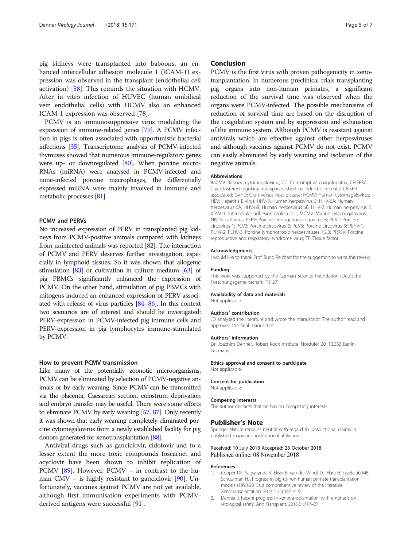<span id="page-4-0"></span>pig kidneys were transplanted into baboons, an enhanced intercellular adhesion molecule 1 (ICAM-1) expression was observed in the transplant (endothelial cell activation) [[58\]](#page-6-0). This reminds the situation with HCMV. After in vitro infection of HUVEC (human umbilical vein endothelial cells) with HCMV also an enhanced ICAM-1 expression was observed [\[78](#page-6-0)].

PCMV is an immunosuppressive virus modulating the expression of immune-related genes [\[79\]](#page-6-0). A PCMV infection in pigs is often associated with opportunistic bacterial infections [\[35](#page-5-0)]. Transcriptome analysis of PCMV-infected thymuses showed that numerous immune-regulatory genes were up- or downregulated [[80](#page-6-0)]. When porcine micro-RNAs (miRNA) were analysed in PCMV-infected and none-infected porcine macrophages, the differentially expressed miRNA were mainly involved in immune and metabolic processes [\[81](#page-6-0)].

# PCMV and PERVs

No increased expression of PERV in transplanted pig kidneys from PCMV-positive animals compared with kidneys from uninfected animals was reported [\[82\]](#page-6-0). The interaction of PCMV and PERV deserves further investigation, especially in lymphoid tissues. So it was shown that allogenic stimulation [\[83](#page-6-0)] or cultivation in culture medium [\[63\]](#page-6-0) of pig PBMCs significantly enhanced the expression of PCMV. On the other hand, stimulation of pig PBMCs with mitogens induced an enhanced expression of PERV associated with release of virus particles [\[84](#page-6-0)–[86\]](#page-6-0). In this context two scenarios are of interest and should be investigated: PERV-expression in PCMV-infected pig immune cells and PERV-expression in pig lymphocytes immune-stimulated by PCMV.

# How to prevent PCMV transmission

Like many of the potentially zoonotic microorganisms, PCMV can be eliminated by selection of PCMV-negative animals or by early weaning. Since PCMV can be transmitted via the placenta, Caesarean section, colostrum deprivation and embryo transfer may be useful. There were some efforts to eliminate PCMV by early weaning [\[57,](#page-6-0) [87](#page-6-0)]. Only recently it was shown that early weaning completely eliminated porcine cytomegalovirus from a newly established facility for pig donors generated for xenotransplantation [\[88](#page-6-0)].

Antiviral drugs such as ganciclovir, cidofovir and to a lesser extent the more toxic compounds foscarnet and acyclovir have been shown to inhibit replication of PCMV [\[89](#page-6-0)]. However, PCMV – in contrast to the human CMV – is highly resistant to ganciclovir [\[90](#page-6-0)]. Unfortunately, vaccines against PCMV are not yet available, although first immunisation experiments with PCMVderived antigens were successful [\[91](#page-6-0)].

# Conclusion

PCMV is the first virus with proven pathogenicity in xenotranplantation. In numerous preclinical trials transplanting pig organs into non-human primates, a significant reduction of the survival time was observed when the organs were PCMV-infected. The possible mechanisms of reduction of survival time are based on the disruption of the coagulation system and by suppression and exhaustion of the immune system. Although PCMV is resistant against antivirals which are effective against other herpesviruses and although vaccines against PCMV do not exist, PCMV can easily eliminated by early weaning and isolation of the negative animals.

#### **Abbreviations**

BaCMV: Baboon cytomegalovirus; CC: Consumptive coagulopathy; CRISPR/ Cas: Clustered regularly interspaced short palindromic repeats/ CRISPR associated; GVHD: Graft versus host disease; HCMV: Human cytomegalovirus; HEV: Hepatitis E virus; HHV-5: Human herpesvirus 5; HHV-6A: Human herpesvirus 6A; HHV-6B: Human herpesvirus 6B; HHV-7: Human herpesvirus 7; ICAM-1: Intercellular adhesion molecule 1; MCMV: Murine cytomegalovirus; NIV: Nipah virus; PERV: Porcine endogenous retroviruses; PCV1: Porcine circovirus 1; PCV2: Porcine circovirus 2; PCV3: Porcine circovirus 3; PLHV-1, PLHV-2, PLHV-3: Porcine lymphotropic herpesviruses 1,2,3; PRRSV: Porcine reproductive and respiratory syndrome virus; TF: Tissue factor

#### Acknowledgments

I would like to thank Prof. Buno Reichart for the suggestion to write this review.

Funding This work was supported by the German Science Foundation (Deutsche Forschungsgemeinschaft, TR127).

#### Availability of data and materials

Not applicable

#### Authors´ contribution

JD analysed the literature and wrote the manuscript. The author read and approved the final manuscript.

#### Authors´ information

Dr. Joachim Denner, Robert Koch Institute, Nordufer 20, 13,353 Berlin, Germany.

#### Ethics approval and consent to participate

Not applicable.

#### Consent for publication

Not applicable.

#### Competing interests

The author declares that he has no competing interests.

#### Publisher's Note

Springer Nature remains neutral with regard to jurisdictional claims in published maps and institutional affiliations.

# Received: 10 July 2018 Accepted: 28 October 2018 Published online: 08 November 2018

# References

- 1. Cooper DK, Satyananda V, Ekser B, van der Windt DJ, Hara H, Ezzelarab MB, Schuurman HJ. Progress in pig-to-non-human primate transplantation models (1998-2013): a comprehensive review of the literature. Xenotransplantation. 2014;21(5):397–419.
- 2. Denner J. Recent progress in xenotransplantation, with emphasis on virological safety. Ann Transplant. 2016;21:717–27.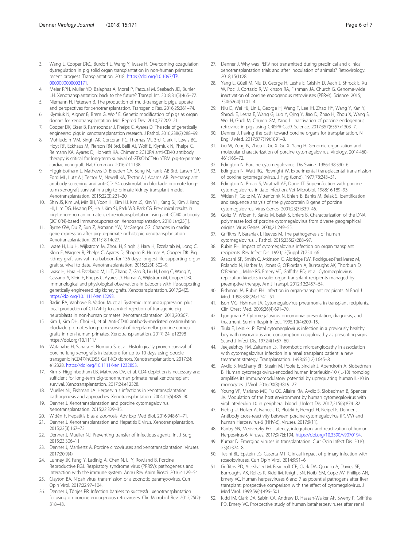- <span id="page-5-0"></span>3. Wang L, Cooper DKC, Burdorf L, Wang Y, Iwase H. Overcoming coagulation dysregulation in pig solid organ transplantation in non-human primates: recent progress. Transplantation. 2018. [https://doi.org/10.1097/TP.](https://doi.org/10.1097/TP.0000000000002171) [0000000000002171](https://doi.org/10.1097/TP.0000000000002171).
- 4. Meier RPH, Muller YD, Balaphas A, Morel P, Pascual M, Seebach JD, Buhler LH. Xenotransplantation: back to the future? Transpl Int. 2018;31(5):465–77.
- 5. Niemann H, Petersen B. The production of multi-transgenic pigs, update and perspectives for xenotransplantation. Transgenic Res. 2016;25:361–74.
- 6. Klymiuk N, Aigner B, Brem G, Wolf E. Genetic modification of pigs as organ donors for xenotransplantation. Mol Reprod Dev. 2010;77:209–21.
- 7. Cooper DK, Ekser B, Ramsoondar J, Phelps C, Ayares D. The role of genetically engineered pigs in xenotransplantation research. J Pathol. 2016;238(2):288–99.
- 8. Mohiuddin MM, Singh AK, Corcoran PC, Thomas ML 3rd, Clark T, Lewis BG, Hoyt RF, Eckhaus M, Pierson RN 3rd, Belli AJ, Wolf E, Klymiuk N, Phelps C, Reimann KA, Ayares D, Horvath KA. Chimeric 2C10R4 anti-CD40 antibody therapy is critical for long-term survival of GTKO.hCD46.hTBM pig-to-primate cardiac xenograft. Nat Commun. 2016;7:11138.
- 9. Higginbotham L, Mathews D, Breeden CA, Song M, Farris AB 3rd, Larsen CP, Ford ML, Lutz AJ, Tector M, Newell KA, Tector AJ, Adams AB. Pre-transplant antibody screening and anti-CD154 costimulation blockade promote longterm xenograft survival in a pig-to-primate kidney transplant model. Xenotransplantation. 2015;22(3):221–30.
- 10. Shin JS, Kim JM, Min BH, Yoon IH, Kim HJ, Kim JS, Kim YH, Kang SJ, Kim J, Kang HJ, Lim DG, Hwang ES, Ha J, Kim SJ, Park WB, Park CG. Pre-clinical results in pig-to-non-human primate islet xenotransplantation using anti-CD40 antibody (2C10R4)-based immunosuppression. Xenotransplantation. 2018 Jan;25(1).
- 11. Byrne GW, Du Z, Sun Z, Asmann YW, McGregor CG. Changes in cardiac gene expression after pig-to-primate orthotopic xenotransplantation. Xenotransplantation. 2011;18:14e27.
- 12. Iwase H, Liu H, Wijkstrom M, Zhou H, Singh J, Hara H, Ezzelarab M, Long C, Klein E, Wagner R, Phelps C, Ayares D, Shapiro R, Humar A, Cooper DK. Pig kidney graft survival in a baboon for 136 days: longest life-supporting organ graft survival to date. Xenotransplantation. 2015;22(4):302–9.
- 13. Iwase H, Hara H, Ezzelarab M, Li T, Zhang Z, Gao B, Liu H, Long C, Wang Y, Cassano A, Klein E, Phelps C, Ayares D, Humar A, Wijkstrom M, Cooper DKC. Immunological and physiological observations in baboons with life-supporting genetically engineered pig kidney grafts. Xenotransplantation. 2017;24(2). <https://doi.org/10.1111/xen.12293>.
- 14. Badin RA, Vanhove B, Vadori M, et al. Systemic immunosuppression plus local production of CTLA4-Ig to control rejection of transgenic pig neuroblasts in non-human primates. Xenotransplantation. 2013;20:367.
- 15. Kim J, Kim DH, Choi HJ, et al. Anti-CD40 antibody-mediated costimulation blockade promotes long-term survival of deep-lamellar porcine corneal grafts in non-human primates. Xenotransplantation, 2017; 24: e12298 https://doi.org/10.1111/
- 16. Watanabe H, Sahara H, Nomura S, et al. Histologically proven survival of porcine lung xenografts in baboons for up to 10 days using double transgenic hCD47/hCD55 GalT-KO donors. Xenotransplantation. 2017;24: e12328. <https://doi.org/10.1111/xen.1232853>.
- 17. Kim S, Higginbotham LB, Mathews DV, et al. CD4 depletion is necessary and sufficient for long-term pig-tononhuman primate renal xenotransplant survival. Xenotransplantation. 2017;24:e12328.
- 18. Mueller NJ, Fishman JA. Herpesvirus infections in xenotransplantation: pathogenesis and approaches. Xenotransplantation. 2004;11(6):486–90.
- 19. Denner J. Xenotransplantation and porcine cytomegalovirus. Xenotransplantation. 2015;22:329–35.
- 20. Widén F. Hepatitis E as a Zoonosis. Adv Exp Med Biol. 2016;948:61–71.
- 21. Denner J. Xenotransplantation and Hepatitis E virus. Xenotransplantation. 2015;22(3):167–73.
- 22. Denner J, Mueller NJ. Preventing transfer of infectious agents. Int J Surg. 2015;23:306–11.
- 23. Denner J, Mankertz A. Porcine circoviruses and xenotransplantation. Viruses. 2017;20:9(4).
- 24. Lunney JK, Fang Y, Ladinig A, Chen N, Li Y, Rowland B, Porcine Reproductive RGJ. Respiratory syndrome virus (PRRSV): pathogenesis and interaction with the immune system. Annu Rev Anim Biosci. 2016;4:129–54.
- 25. Clayton BA. Nipah virus: transmission of a zoonotic paramyxovirus. Curr Opin Virol. 2017;22:97–104.
- 26. Denner J, Tönjes RR. Infection barriers to successful xenotransplantation focusing on porcine endogenous retroviruses. Clin Microbiol Rev. 2012;25(2): 318–43.
- 27. Denner J. Why was PERV not transmitted during preclinical and clinical xenotransplantation trials and after inoculation of animals? Retrovirology. 2018;15(1):28.
- 28. Yang L, Güell M, Niu D, George H, Lesha E, Grishin D, Aach J, Shrock E, Xu W, Poci J, Cortazio R, Wilkinson RA, Fishman JA, Church G. Genome-wide inactivation of porcine endogenous retroviruses (PERVs). Science. 2015; 350(6264):1101–4.
- 29. Niu D, Wei HJ, Lin L, George H, Wang T, Lee IH, Zhao HY, Wang Y, Kan Y, Shrock E, Lesha E, Wang G, Luo Y, Qing Y, Jiao D, Zhao H, Zhou X, Wang S, Wei H, Güell M, Church GM, Yang L. Inactivation of porcine endogenous retrovirus in pigs using CRISPR-Cas9. Science. 2017;357(6357):1303–7.
- 30. Denner J. Paving the path toward porcine organs for transplantation. N Engl J Med. 2017;377(19):1891–3.
- 31. Gu W, Zeng N, Zhou L, Ge X, Gu X, Yang H. Genomic organization and molecular characterization of porcine cytomegalovirus. Virology. 2014;460- 461:165–72.
- 32. Edington N. Porcine cytomegalovirus. Dis Swine. 1986;138:330–6.
- 33. Edington N, Watt RG, Plowright W. Experimental transplacental transmission of porcine cytomegalovirus. J Hyg (Lond). 1977;78:243–51.
- 34. Edington N, Broad S, Wrathall AE, Done JT. Superinfection with porcine cytomegalovirus initiate infection. Vet Microbiol. 1988;16:189–93.
- 35. Widen F, Goltz M, Wittenbrink N, Ehlers B, Banks M, Belak S. Identification and sequence analysis of the glycoprotein B gene of porcine cytomegalovirus. Virus Genes. 2001;23(3):339–46.
- 36. Goltz M, Widen F, Banks M, Belak S, Ehlers B. Characterization of the DNA polymerase loci of porcine cytomegalovirus from diverse geographical origins. Virus Genes. 2000;21:249–55.
- 37. Griffiths P, Baraniak I, Reeves M. The pathogenesis of human cytomegalovirus. J Pathol. 2015;235(2):288–97.
- 38. Rubin RH. Impact of cytomegalovirus infection on organ transplant recipients. Rev Infect Dis. 1990;12(Suppl 7):754–66.
- 39. Atabani SF, Smith C, Atkinson C, Aldridge RW, Rodriguez-Perálvarez M, Rolando N, Harber M, Jones G, O'Riordan A, Burroughs AK, Thorburn D, O'Beirne J, Milne RS, Emery VC, Griffiths PD, et al. Cytomegalovirus replication kinetics in solid organ transplant recipients managed by preemptive therapy. Am J Transpl. 2012;12:2457–64.
- 40. Fishman JA, Rubin RH. Infection in organ-transplant recipients. N Engl J Med. 1998;338(24):1741–51.
- 41. Ison MG, Fishman JA. Cytomegalovirus pneumonia in transplant recipients. Clin Chest Med. 2005;26(4):691–70.
- 42. Ljungman P. Cytomegalovirus pneumonia: presentation, diagnosis, and treatment. Semin Respir Infect. 1995;10(4):209–15.
- 43. Tiula E, Leinikki P. Fatal cytomegalovirus infection in a previously healthy boy with myocarditis and consumption coagulopathy as presenting signs. Scand J Infect Dis. 1972;4(1):57–60.
- 44. Jeejeebhoy FM, Zaltzman JS. Thrombotic microangiopathy in association with cytomegalovirus infection in a renal transplant patient: a new treatment strategy. Transplantation. 1998;65(12):1645–8.
- 45. Avdic S, McSharry BP, Steain M, Poole E, Sinclair J, Abendroth A, Slobedman B. Human cytomegalovirus-encoded human Interleukin-10 (IL-10) homolog amplifies its immunomodulatory potential by upregulating human IL-10 in monocytes. J Virol. 2016;90(8):3819–27.
- 46. Young VP, Mariano MC, Tu CC, Allaire KM, Avdic S, Slobedman B, Spencer JV. Modulation of the host environment by human cytomegalovirus with viral interleukin 10 in peripheral blood. J Infect Dis. 2017;215(6):874–82.
- 47. Fiebig U, Holzer A, Ivanusic D, Plotzki E, Hengel H, Neipel F, Denner J. Antibody cross-reactivity between porcine cytomegalovirus (PCMV) and human Herpesvirus-6 (HHV-6). Viruses. 2017;9(11).
- 48. Pantry SN, Medveczky PG. Latency, integration, and reactivation of human Herpesvirus-6. Viruses. 2017;9(7):E194. [https://doi.org/10.3390/v9070194.](https://doi.org/10.3390/v9070194)
- 49. Kumar D. Emerging viruses in transplantation. Curr Opin Infect Dis. 2010; 23(4):374–8.
- 50. Tesini BL, Epstein LG, Caserta MT. Clinical impact of primary infection with roseoloviruses. Curr Opin Virol. 2014;9:91–6.
- 51. Griffiths PD, Ait-Khaled M, Bearcroft CP, Clark DA, Quaglia A, Davies SE, Burroughs AK, Rolles K, Kidd IM, Knight SN, Noibi SM, Cope AV, Phillips AN, Emery VC. Human herpesviruses 6 and 7 as potential pathogens after liver transplant: prospective comparison with the effect of cytomegalovirus. J Med Virol. 1999;59(4):496–501.
- 52. Kidd IM, Clark DA, Sabin CA, Andrew D, Hassan-Walker AF, Sweny P, Griffiths PD, Emery VC. Prospective study of human betaherpesviruses after renal